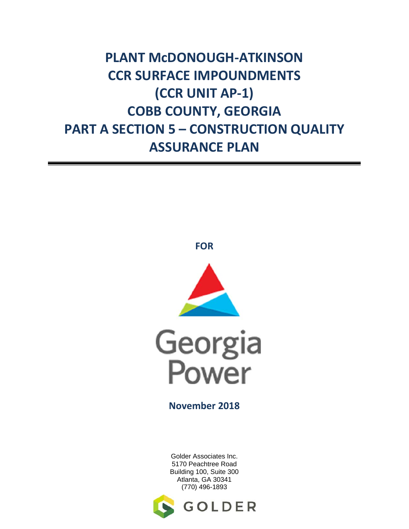**PLANT McDONOUGH‐ATKINSON CCR SURFACE IMPOUNDMENTS (CCR UNIT AP‐1) COBB COUNTY, GEORGIA PART A SECTION 5 – CONSTRUCTION QUALITY ASSURANCE PLAN**



**FOR**



**November 2018**

Golder Associates Inc. 5170 Peachtree Road Building 100, Suite 300 Atlanta, GA 30341 (770) 496-1893

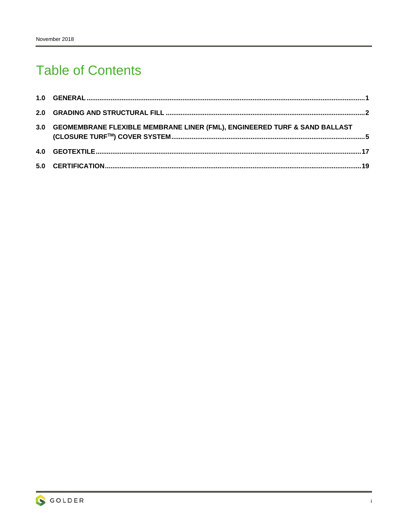# **Table of Contents**

| 3.0 GEOMEMBRANE FLEXIBLE MEMBRANE LINER (FML), ENGINEERED TURF & SAND BALLAST |  |
|-------------------------------------------------------------------------------|--|
|                                                                               |  |
|                                                                               |  |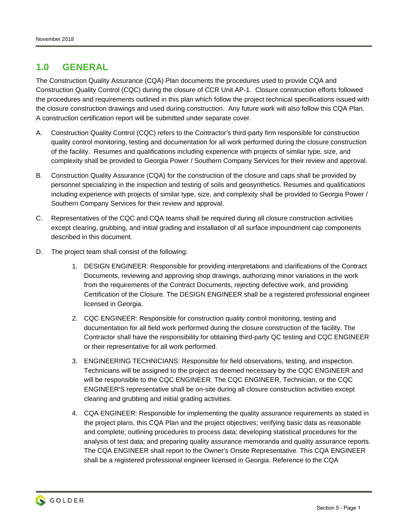# **1.0 GENERAL**

The Construction Quality Assurance (CQA) Plan documents the procedures used to provide CQA and Construction Quality Control (CQC) during the closure of CCR Unit AP-1. Closure construction efforts followed the procedures and requirements outlined in this plan which follow the project technical specifications issued with the closure construction drawings and used during construction. Any future work will also follow this CQA Plan. A construction certification report will be submitted under separate cover.

- A. Construction Quality Control (CQC) refers to the Contractor's third-party firm responsible for construction quality control monitoring, testing and documentation for all work performed during the closure construction of the facility. Resumes and qualifications including experience with projects of similar type, size, and complexity shall be provided to Georgia Power / Southern Company Services for their review and approval.
- B. Construction Quality Assurance (CQA) for the construction of the closure and caps shall be provided by personnel specializing in the inspection and testing of soils and geosynthetics. Resumes and qualifications including experience with projects of similar type, size, and complexity shall be provided to Georgia Power / Southern Company Services for their review and approval.
- C. Representatives of the CQC and CQA teams shall be required during all closure construction activities except clearing, grubbing, and initial grading and installation of all surface impoundment cap components described in this document.
- D. The project team shall consist of the following:
	- 1. DESIGN ENGINEER: Responsible for providing interpretations and clarifications of the Contract Documents, reviewing and approving shop drawings, authorizing minor variations in the work from the requirements of the Contract Documents, rejecting defective work, and providing Certification of the Closure. The DESIGN ENGINEER shall be a registered professional engineer licensed in Georgia.
	- 2. CQC ENGINEER: Responsible for construction quality control monitoring, testing and documentation for all field work performed during the closure construction of the facility. The Contractor shall have the responsibility for obtaining third-party QC testing and CQC ENGINEER or their representative for all work performed.
	- 3. ENGINEERING TECHNICIANS: Responsible for field observations, testing, and inspection. Technicians will be assigned to the project as deemed necessary by the CQC ENGINEER and will be responsible to the CQC ENGINEER. The CQC ENGINEER, Technician, or the CQC ENGINEER'S representative shall be on-site during all closure construction activities except clearing and grubbing and initial grading activities.
	- 4. CQA ENGINEER: Responsible for implementing the quality assurance requirements as stated in the project plans, this CQA Plan and the project objectives; verifying basic data as reasonable and complete; outlining procedures to process data; developing statistical procedures for the analysis of test data; and preparing quality assurance memoranda and quality assurance reports. The CQA ENGINEER shall report to the Owner's Onsite Representative. This CQA ENGINEER shall be a registered professional engineer licensed in Georgia. Reference to the CQA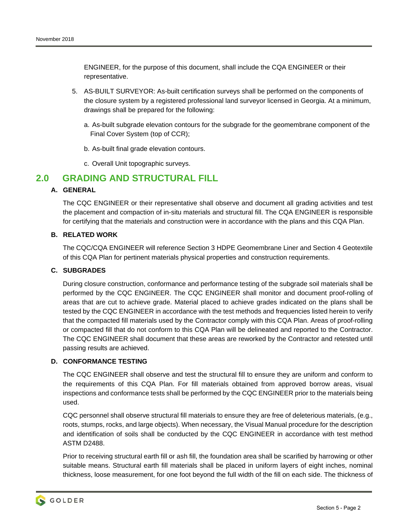ENGINEER, for the purpose of this document, shall include the CQA ENGINEER or their representative.

- 5. AS-BUILT SURVEYOR: As-built certification surveys shall be performed on the components of the closure system by a registered professional land surveyor licensed in Georgia. At a minimum, drawings shall be prepared for the following:
	- a. As-built subgrade elevation contours for the subgrade for the geomembrane component of the Final Cover System (top of CCR);
	- b. As-built final grade elevation contours.
	- c. Overall Unit topographic surveys.

# **2.0 GRADING AND STRUCTURAL FILL**

# **A. GENERAL**

The CQC ENGINEER or their representative shall observe and document all grading activities and test the placement and compaction of in-situ materials and structural fill. The CQA ENGINEER is responsible for certifying that the materials and construction were in accordance with the plans and this CQA Plan.

#### **B. RELATED WORK**

The CQC/CQA ENGINEER will reference Section 3 HDPE Geomembrane Liner and Section 4 Geotextile of this CQA Plan for pertinent materials physical properties and construction requirements.

#### **C. SUBGRADES**

During closure construction, conformance and performance testing of the subgrade soil materials shall be performed by the CQC ENGINEER. The CQC ENGINEER shall monitor and document proof-rolling of areas that are cut to achieve grade. Material placed to achieve grades indicated on the plans shall be tested by the CQC ENGINEER in accordance with the test methods and frequencies listed herein to verify that the compacted fill materials used by the Contractor comply with this CQA Plan. Areas of proof-rolling or compacted fill that do not conform to this CQA Plan will be delineated and reported to the Contractor. The CQC ENGINEER shall document that these areas are reworked by the Contractor and retested until passing results are achieved.

#### **D. CONFORMANCE TESTING**

The CQC ENGINEER shall observe and test the structural fill to ensure they are uniform and conform to the requirements of this CQA Plan. For fill materials obtained from approved borrow areas, visual inspections and conformance tests shall be performed by the CQC ENGINEER prior to the materials being used.

CQC personnel shall observe structural fill materials to ensure they are free of deleterious materials, (e.g., roots, stumps, rocks, and large objects). When necessary, the Visual Manual procedure for the description and identification of soils shall be conducted by the CQC ENGINEER in accordance with test method ASTM D2488.

Prior to receiving structural earth fill or ash fill, the foundation area shall be scarified by harrowing or other suitable means. Structural earth fill materials shall be placed in uniform layers of eight inches, nominal thickness, loose measurement, for one foot beyond the full width of the fill on each side. The thickness of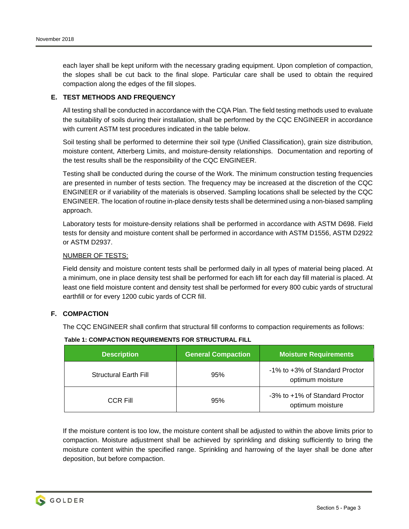each layer shall be kept uniform with the necessary grading equipment. Upon completion of compaction, the slopes shall be cut back to the final slope. Particular care shall be used to obtain the required compaction along the edges of the fill slopes.

#### **E. TEST METHODS AND FREQUENCY**

All testing shall be conducted in accordance with the CQA Plan. The field testing methods used to evaluate the suitability of soils during their installation, shall be performed by the CQC ENGINEER in accordance with current ASTM test procedures indicated in the table below.

Soil testing shall be performed to determine their soil type (Unified Classification), grain size distribution, moisture content, Atterberg Limits, and moisture-density relationships. Documentation and reporting of the test results shall be the responsibility of the CQC ENGINEER.

Testing shall be conducted during the course of the Work. The minimum construction testing frequencies are presented in number of tests section. The frequency may be increased at the discretion of the CQC ENGINEER or if variability of the materials is observed. Sampling locations shall be selected by the CQC ENGINEER. The location of routine in-place density tests shall be determined using a non-biased sampling approach.

Laboratory tests for moisture-density relations shall be performed in accordance with ASTM D698. Field tests for density and moisture content shall be performed in accordance with ASTM D1556, ASTM D2922 or ASTM D2937.

#### NUMBER OF TESTS:

Field density and moisture content tests shall be performed daily in all types of material being placed. At a minimum, one in place density test shall be performed for each lift for each day fill material is placed. At least one field moisture content and density test shall be performed for every 800 cubic yards of structural earthfill or for every 1200 cubic yards of CCR fill.

# **F. COMPACTION**

The CQC ENGINEER shall confirm that structural fill conforms to compaction requirements as follows:

| <b>Description</b>           | <b>General Compaction</b> | <b>Moisture Requirements</b>                       |
|------------------------------|---------------------------|----------------------------------------------------|
| <b>Structural Earth Fill</b> | 95%                       | -1% to +3% of Standard Proctor<br>optimum moisture |
| CCR Fill                     | 95%                       | -3% to +1% of Standard Proctor<br>optimum moisture |

## **Table 1: COMPACTION REQUIREMENTS FOR STRUCTURAL FILL**

If the moisture content is too low, the moisture content shall be adjusted to within the above limits prior to compaction. Moisture adjustment shall be achieved by sprinkling and disking sufficiently to bring the moisture content within the specified range. Sprinkling and harrowing of the layer shall be done after deposition, but before compaction.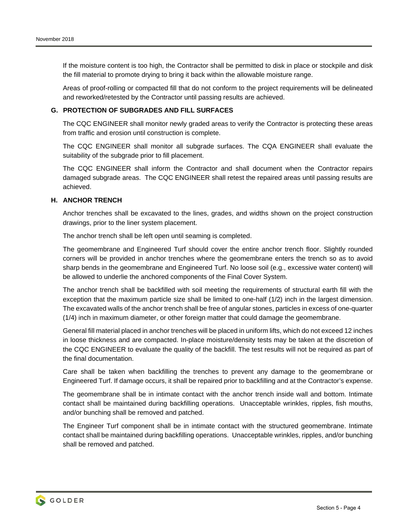If the moisture content is too high, the Contractor shall be permitted to disk in place or stockpile and disk the fill material to promote drying to bring it back within the allowable moisture range.

Areas of proof-rolling or compacted fill that do not conform to the project requirements will be delineated and reworked/retested by the Contractor until passing results are achieved.

## **G. PROTECTION OF SUBGRADES AND FILL SURFACES**

The CQC ENGINEER shall monitor newly graded areas to verify the Contractor is protecting these areas from traffic and erosion until construction is complete.

The CQC ENGINEER shall monitor all subgrade surfaces. The CQA ENGINEER shall evaluate the suitability of the subgrade prior to fill placement.

The CQC ENGINEER shall inform the Contractor and shall document when the Contractor repairs damaged subgrade areas. The CQC ENGINEER shall retest the repaired areas until passing results are achieved.

#### **H. ANCHOR TRENCH**

Anchor trenches shall be excavated to the lines, grades, and widths shown on the project construction drawings, prior to the liner system placement.

The anchor trench shall be left open until seaming is completed.

The geomembrane and Engineered Turf should cover the entire anchor trench floor. Slightly rounded corners will be provided in anchor trenches where the geomembrane enters the trench so as to avoid sharp bends in the geomembrane and Engineered Turf. No loose soil (e.g., excessive water content) will be allowed to underlie the anchored components of the Final Cover System.

The anchor trench shall be backfilled with soil meeting the requirements of structural earth fill with the exception that the maximum particle size shall be limited to one-half (1/2) inch in the largest dimension. The excavated walls of the anchor trench shall be free of angular stones, particles in excess of one-quarter (1/4) inch in maximum diameter, or other foreign matter that could damage the geomembrane.

General fill material placed in anchor trenches will be placed in uniform lifts, which do not exceed 12 inches in loose thickness and are compacted. In-place moisture/density tests may be taken at the discretion of the CQC ENGINEER to evaluate the quality of the backfill. The test results will not be required as part of the final documentation.

Care shall be taken when backfilling the trenches to prevent any damage to the geomembrane or Engineered Turf. If damage occurs, it shall be repaired prior to backfilling and at the Contractor's expense.

The geomembrane shall be in intimate contact with the anchor trench inside wall and bottom. Intimate contact shall be maintained during backfilling operations. Unacceptable wrinkles, ripples, fish mouths, and/or bunching shall be removed and patched.

The Engineer Turf component shall be in intimate contact with the structured geomembrane. Intimate contact shall be maintained during backfilling operations. Unacceptable wrinkles, ripples, and/or bunching shall be removed and patched.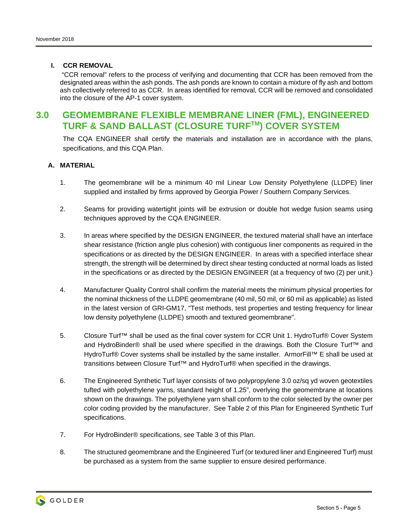# **I. CCR REMOVAL**

 "CCR removal" refers to the process of verifying and documenting that CCR has been removed from the designated areas within the ash ponds. The ash ponds are known to contain a mixture of fly ash and bottom ash collectively referred to as CCR. In areas identified for removal, CCR will be removed and consolidated into the closure of the AP-1 cover system.

# **3.0 GEOMEMBRANE FLEXIBLE MEMBRANE LINER (FML), ENGINEERED TURF & SAND BALLAST (CLOSURE TURFTM) COVER SYSTEM**

The CQA ENGINEER shall certify the materials and installation are in accordance with the plans, specifications, and this CQA Plan.

# **A. MATERIAL**

- 1. The geomembrane will be a minimum 40 mil Linear Low Density Polyethylene (LLDPE) liner supplied and installed by firms approved by Georgia Power / Southern Company Services.
- 2. Seams for providing watertight joints will be extrusion or double hot wedge fusion seams using techniques approved by the CQA ENGINEER.
- 3. In areas where specified by the DESIGN ENGINEER, the textured material shall have an interface shear resistance (friction angle plus cohesion) with contiguous liner components as required in the specifications or as directed by the DESIGN ENGINEER. In areas with a specified interface shear strength, the strength will be determined by direct shear testing conducted at normal loads as listed in the specifications or as directed by the DESIGN ENGINEER (at a frequency of two (2) per unit.)
- 4. Manufacturer Quality Control shall confirm the material meets the minimum physical properties for the nominal thickness of the LLDPE geomembrane (40 mil, 50 mil, or 60 mil as applicable) as listed in the latest version of GRI-GM17, "Test methods, test properties and testing frequency for linear low density polyethylene (LLDPE) smooth and textured geomembrane".
- 5. Closure Turf™ shall be used as the final cover system for CCR Unit 1. HydroTurf® Cover System and HydroBinder® shall be used where specified in the drawings. Both the Closure Turf™ and HydroTurf® Cover systems shall be installed by the same installer. ArmorFill™ E shall be used at transitions between Closure Turf™ and HydroTurf® when specified in the drawings.
- 6. The Engineered Synthetic Turf layer consists of two polypropylene 3.0 oz/sq yd woven geotextiles tufted with polyethylene yarns, standard height of 1.25", overlying the geomembrane at locations shown on the drawings. The polyethylene yarn shall conform to the color selected by the owner per color coding provided by the manufacturer. See Table 2 of this Plan for Engineered Synthetic Turf specifications.
- 7. For HydroBinder® specifications, see Table 3 of this Plan.
- 8. The structured geomembrane and the Engineered Turf (or textured liner and Engineered Turf) must be purchased as a system from the same supplier to ensure desired performance.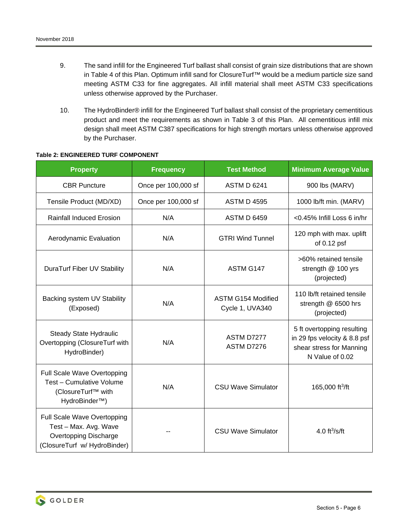- 9. The sand infill for the Engineered Turf ballast shall consist of grain size distributions that are shown in Table 4 of this Plan. Optimum infill sand for ClosureTurf™ would be a medium particle size sand meeting ASTM C33 for fine aggregates. All infill material shall meet ASTM C33 specifications unless otherwise approved by the Purchaser.
- 10. The HydroBinder® infill for the Engineered Turf ballast shall consist of the proprietary cementitious product and meet the requirements as shown in Table 3 of this Plan. All cementitious infill mix design shall meet ASTM C387 specifications for high strength mortars unless otherwise approved by the Purchaser.

| <b>Property</b>                                                                                                      | <b>Frequency</b>    | <b>Test Method</b>                    | <b>Minimum Average Value</b>                                                                              |
|----------------------------------------------------------------------------------------------------------------------|---------------------|---------------------------------------|-----------------------------------------------------------------------------------------------------------|
| <b>CBR Puncture</b>                                                                                                  | Once per 100,000 sf | <b>ASTM D 6241</b>                    | 900 lbs (MARV)                                                                                            |
| Tensile Product (MD/XD)                                                                                              | Once per 100,000 sf | <b>ASTM D 4595</b>                    | 1000 lb/ft min. (MARV)                                                                                    |
| <b>Rainfall Induced Erosion</b>                                                                                      | N/A                 | <b>ASTM D 6459</b>                    | <0.45% Infill Loss 6 in/hr                                                                                |
| Aerodynamic Evaluation                                                                                               | N/A                 | <b>GTRI Wind Tunnel</b>               | 120 mph with max. uplift<br>of 0.12 psf                                                                   |
| DuraTurf Fiber UV Stability                                                                                          | N/A                 | ASTM G147                             | >60% retained tensile<br>strength @ 100 yrs<br>(projected)                                                |
| Backing system UV Stability<br>(Exposed)                                                                             | N/A                 | ASTM G154 Modified<br>Cycle 1, UVA340 | 110 lb/ft retained tensile<br>strength @ 6500 hrs<br>(projected)                                          |
| <b>Steady State Hydraulic</b><br>Overtopping (ClosureTurf with<br>HydroBinder)                                       | N/A                 | ASTM D7277<br><b>ASTM D7276</b>       | 5 ft overtopping resulting<br>in 29 fps velocity & 8.8 psf<br>shear stress for Manning<br>N Value of 0.02 |
| Full Scale Wave Overtopping<br>Test - Cumulative Volume<br>(ClosureTurf™ with<br>HydroBinder <sup>™</sup> )          | N/A                 | <b>CSU Wave Simulator</b>             | 165,000 ft <sup>3</sup> /ft                                                                               |
| Full Scale Wave Overtopping<br>Test - Max. Avg. Wave<br><b>Overtopping Discharge</b><br>(ClosureTurf w/ HydroBinder) |                     | <b>CSU Wave Simulator</b>             | 4.0 $ft^3/s/ft$                                                                                           |

#### **Table 2: ENGINEERED TURF COMPONENT**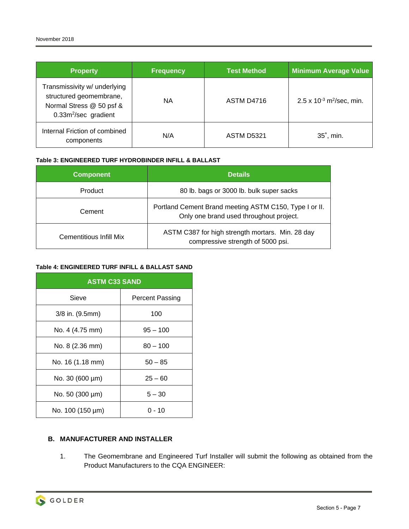| <b>Property</b>                                                                                                         | <b>Frequency</b> | <b>Test Method</b> | <b>Minimum Average Value</b>              |
|-------------------------------------------------------------------------------------------------------------------------|------------------|--------------------|-------------------------------------------|
| Transmissivity w/ underlying<br>structured geomembrane,<br>Normal Stress @ 50 psf &<br>0.33m <sup>2</sup> /sec gradient | NА               | ASTM D4716         | 2.5 x $10^{-3}$ m <sup>2</sup> /sec, min. |
| Internal Friction of combined<br>components                                                                             | N/A              | <b>ASTM D5321</b>  | 35°, min.                                 |

## **Table 3: ENGINEERED TURF HYDROBINDER INFILL & BALLAST**

| <b>Component</b>        | <b>Details</b>                                                                                    |  |
|-------------------------|---------------------------------------------------------------------------------------------------|--|
| Product                 | 80 lb. bags or 3000 lb. bulk super sacks                                                          |  |
| Cement                  | Portland Cement Brand meeting ASTM C150, Type I or II.<br>Only one brand used throughout project. |  |
| Cementitious Infill Mix | ASTM C387 for high strength mortars. Min. 28 day<br>compressive strength of 5000 psi.             |  |

#### **Table 4: ENGINEERED TURF INFILL & BALLAST SAND**

| <b>ASTM C33 SAND</b> |                 |  |  |
|----------------------|-----------------|--|--|
| Sieve                | Percent Passing |  |  |
| 3/8 in. (9.5mm)      | 100             |  |  |
| No. 4 (4.75 mm)      | $95 - 100$      |  |  |
| No. 8 (2.36 mm)      | $80 - 100$      |  |  |
| No. 16 (1.18 mm)     | $50 - 85$       |  |  |
| No. 30 (600 µm)      | $25 - 60$       |  |  |
| No. 50 (300 µm)      | $5 - 30$        |  |  |
| No. 100 (150 µm)     | ი - 10          |  |  |

# **B. MANUFACTURER AND INSTALLER**

1. The Geomembrane and Engineered Turf Installer will submit the following as obtained from the Product Manufacturers to the CQA ENGINEER: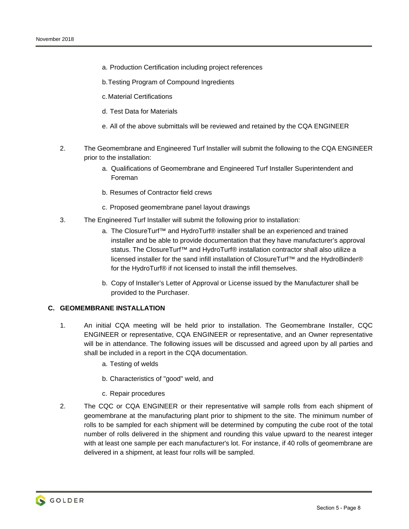- a. Production Certification including project references
- b. Testing Program of Compound Ingredients
- c. Material Certifications
- d. Test Data for Materials
- e. All of the above submittals will be reviewed and retained by the CQA ENGINEER
- 2. The Geomembrane and Engineered Turf Installer will submit the following to the CQA ENGINEER prior to the installation:
	- a. Qualifications of Geomembrane and Engineered Turf Installer Superintendent and Foreman
	- b. Resumes of Contractor field crews
	- c. Proposed geomembrane panel layout drawings
- 3. The Engineered Turf Installer will submit the following prior to installation:
	- a. The ClosureTurf<sup>™</sup> and HydroTurf® installer shall be an experienced and trained installer and be able to provide documentation that they have manufacturer's approval status. The ClosureTurf™ and HydroTurf® installation contractor shall also utilize a licensed installer for the sand infill installation of ClosureTurf™ and the HydroBinder® for the HydroTurf® if not licensed to install the infill themselves.
	- b. Copy of Installer's Letter of Approval or License issued by the Manufacturer shall be provided to the Purchaser.

#### **C. GEOMEMBRANE INSTALLATION**

- 1. An initial CQA meeting will be held prior to installation. The Geomembrane Installer, CQC ENGINEER or representative, CQA ENGINEER or representative, and an Owner representative will be in attendance. The following issues will be discussed and agreed upon by all parties and shall be included in a report in the CQA documentation.
	- a. Testing of welds
	- b. Characteristics of "good" weld, and
	- c. Repair procedures
- 2. The CQC or CQA ENGINEER or their representative will sample rolls from each shipment of geomembrane at the manufacturing plant prior to shipment to the site. The minimum number of rolls to be sampled for each shipment will be determined by computing the cube root of the total number of rolls delivered in the shipment and rounding this value upward to the nearest integer with at least one sample per each manufacturer's lot. For instance, if 40 rolls of geomembrane are delivered in a shipment, at least four rolls will be sampled.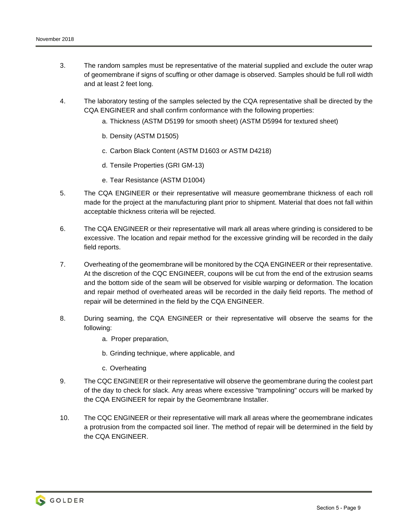- 3. The random samples must be representative of the material supplied and exclude the outer wrap of geomembrane if signs of scuffing or other damage is observed. Samples should be full roll width and at least 2 feet long.
- 4. The laboratory testing of the samples selected by the CQA representative shall be directed by the CQA ENGINEER and shall confirm conformance with the following properties:
	- a. Thickness (ASTM D5199 for smooth sheet) (ASTM D5994 for textured sheet)
	- b. Density (ASTM D1505)
	- c. Carbon Black Content (ASTM D1603 or ASTM D4218)
	- d. Tensile Properties (GRI GM-13)
	- e. Tear Resistance (ASTM D1004)
- 5. The CQA ENGINEER or their representative will measure geomembrane thickness of each roll made for the project at the manufacturing plant prior to shipment. Material that does not fall within acceptable thickness criteria will be rejected.
- 6. The CQA ENGINEER or their representative will mark all areas where grinding is considered to be excessive. The location and repair method for the excessive grinding will be recorded in the daily field reports.
- 7. Overheating of the geomembrane will be monitored by the CQA ENGINEER or their representative. At the discretion of the CQC ENGINEER, coupons will be cut from the end of the extrusion seams and the bottom side of the seam will be observed for visible warping or deformation. The location and repair method of overheated areas will be recorded in the daily field reports. The method of repair will be determined in the field by the CQA ENGINEER.
- 8. During seaming, the CQA ENGINEER or their representative will observe the seams for the following:
	- a. Proper preparation,
	- b. Grinding technique, where applicable, and
	- c. Overheating
- 9. The CQC ENGINEER or their representative will observe the geomembrane during the coolest part of the day to check for slack. Any areas where excessive "trampolining" occurs will be marked by the CQA ENGINEER for repair by the Geomembrane Installer.
- 10. The CQC ENGINEER or their representative will mark all areas where the geomembrane indicates a protrusion from the compacted soil liner. The method of repair will be determined in the field by the CQA ENGINEER.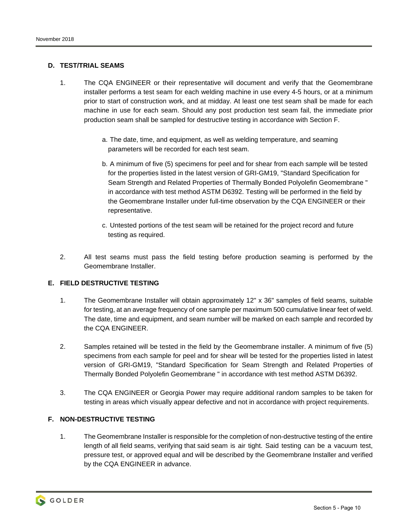## **D. TEST/TRIAL SEAMS**

- 1. The CQA ENGINEER or their representative will document and verify that the Geomembrane installer performs a test seam for each welding machine in use every 4-5 hours, or at a minimum prior to start of construction work, and at midday. At least one test seam shall be made for each machine in use for each seam. Should any post production test seam fail, the immediate prior production seam shall be sampled for destructive testing in accordance with Section F.
	- a. The date, time, and equipment, as well as welding temperature, and seaming parameters will be recorded for each test seam.
	- b. A minimum of five (5) specimens for peel and for shear from each sample will be tested for the properties listed in the latest version of GRI-GM19, "Standard Specification for Seam Strength and Related Properties of Thermally Bonded Polyolefin Geomembrane " in accordance with test method ASTM D6392. Testing will be performed in the field by the Geomembrane Installer under full-time observation by the CQA ENGINEER or their representative.
	- c. Untested portions of the test seam will be retained for the project record and future testing as required.
- 2. All test seams must pass the field testing before production seaming is performed by the Geomembrane Installer.

## **E. FIELD DESTRUCTIVE TESTING**

- 1. The Geomembrane Installer will obtain approximately 12" x 36" samples of field seams, suitable for testing, at an average frequency of one sample per maximum 500 cumulative linear feet of weld. The date, time and equipment, and seam number will be marked on each sample and recorded by the CQA ENGINEER.
- 2. Samples retained will be tested in the field by the Geomembrane installer. A minimum of five (5) specimens from each sample for peel and for shear will be tested for the properties listed in latest version of GRI-GM19, "Standard Specification for Seam Strength and Related Properties of Thermally Bonded Polyolefin Geomembrane " in accordance with test method ASTM D6392.
- 3. The CQA ENGINEER or Georgia Power may require additional random samples to be taken for testing in areas which visually appear defective and not in accordance with project requirements.

# **F. NON-DESTRUCTIVE TESTING**

1. The Geomembrane Installer is responsible for the completion of non-destructive testing of the entire length of all field seams, verifying that said seam is air tight. Said testing can be a vacuum test, pressure test, or approved equal and will be described by the Geomembrane Installer and verified by the CQA ENGINEER in advance.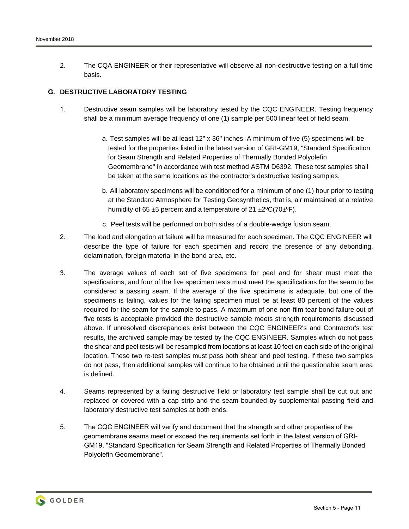2. The CQA ENGINEER or their representative will observe all non-destructive testing on a full time basis.

## **G. DESTRUCTIVE LABORATORY TESTING**

- 1. Destructive seam samples will be laboratory tested by the CQC ENGINEER. Testing frequency shall be a minimum average frequency of one (1) sample per 500 linear feet of field seam.
	- a. Test samples will be at least 12" x 36" inches. A minimum of five (5) specimens will be tested for the properties listed in the latest version of GRI-GM19, "Standard Specification for Seam Strength and Related Properties of Thermally Bonded Polyolefin Geomembrane" in accordance with test method ASTM D6392. These test samples shall be taken at the same locations as the contractor's destructive testing samples.
	- b. All laboratory specimens will be conditioned for a minimum of one (1) hour prior to testing at the Standard Atmosphere for Testing Geosynthetics, that is, air maintained at a relative humidity of 65  $\pm$ 5 percent and a temperature of 21  $\pm$ 2<sup>o</sup>C(70 $\pm$ <sup>o</sup>F).
	- c. Peel tests will be performed on both sides of a double-wedge fusion seam.
- 2. The load and elongation at failure will be measured for each specimen. The CQC ENGINEER will describe the type of failure for each specimen and record the presence of any debonding, delamination, foreign material in the bond area, etc.
- 3. The average values of each set of five specimens for peel and for shear must meet the specifications, and four of the five specimen tests must meet the specifications for the seam to be considered a passing seam. If the average of the five specimens is adequate, but one of the specimens is failing, values for the failing specimen must be at least 80 percent of the values required for the seam for the sample to pass. A maximum of one non-film tear bond failure out of five tests is acceptable provided the destructive sample meets strength requirements discussed above. If unresolved discrepancies exist between the CQC ENGINEER's and Contractor's test results, the archived sample may be tested by the CQC ENGINEER. Samples which do not pass the shear and peel tests will be resampled from locations at least 10 feet on each side of the original location. These two re-test samples must pass both shear and peel testing. If these two samples do not pass, then additional samples will continue to be obtained until the questionable seam area is defined.
- 4. Seams represented by a failing destructive field or laboratory test sample shall be cut out and replaced or covered with a cap strip and the seam bounded by supplemental passing field and laboratory destructive test samples at both ends.
- 5. The CQC ENGINEER will verify and document that the strength and other properties of the geomembrane seams meet or exceed the requirements set forth in the latest version of GRI-GM19, "Standard Specification for Seam Strength and Related Properties of Thermally Bonded Polyolefin Geomembrane".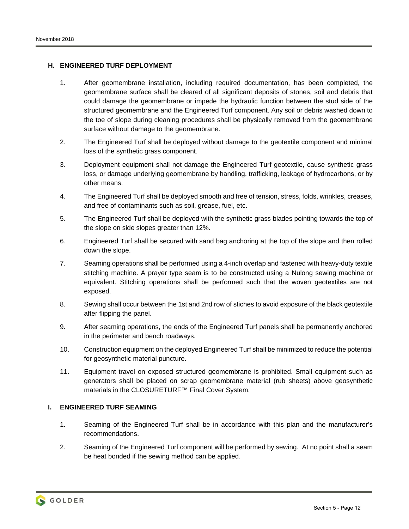## **H. ENGINEERED TURF DEPLOYMENT**

- 1. After geomembrane installation, including required documentation, has been completed, the geomembrane surface shall be cleared of all significant deposits of stones, soil and debris that could damage the geomembrane or impede the hydraulic function between the stud side of the structured geomembrane and the Engineered Turf component. Any soil or debris washed down to the toe of slope during cleaning procedures shall be physically removed from the geomembrane surface without damage to the geomembrane.
- 2. The Engineered Turf shall be deployed without damage to the geotextile component and minimal loss of the synthetic grass component.
- 3. Deployment equipment shall not damage the Engineered Turf geotextile, cause synthetic grass loss, or damage underlying geomembrane by handling, trafficking, leakage of hydrocarbons, or by other means.
- 4. The Engineered Turf shall be deployed smooth and free of tension, stress, folds, wrinkles, creases, and free of contaminants such as soil, grease, fuel, etc.
- 5. The Engineered Turf shall be deployed with the synthetic grass blades pointing towards the top of the slope on side slopes greater than 12%.
- 6. Engineered Turf shall be secured with sand bag anchoring at the top of the slope and then rolled down the slope.
- 7. Seaming operations shall be performed using a 4-inch overlap and fastened with heavy-duty textile stitching machine. A prayer type seam is to be constructed using a Nulong sewing machine or equivalent. Stitching operations shall be performed such that the woven geotextiles are not exposed.
- 8. Sewing shall occur between the 1st and 2nd row of stiches to avoid exposure of the black geotextile after flipping the panel.
- 9. After seaming operations, the ends of the Engineered Turf panels shall be permanently anchored in the perimeter and bench roadways.
- 10. Construction equipment on the deployed Engineered Turf shall be minimized to reduce the potential for geosynthetic material puncture.
- 11. Equipment travel on exposed structured geomembrane is prohibited. Small equipment such as generators shall be placed on scrap geomembrane material (rub sheets) above geosynthetic materials in the CLOSURETURF™ Final Cover System.

#### **I. ENGINEERED TURF SEAMING**

- 1. Seaming of the Engineered Turf shall be in accordance with this plan and the manufacturer's recommendations.
- 2. Seaming of the Engineered Turf component will be performed by sewing. At no point shall a seam be heat bonded if the sewing method can be applied.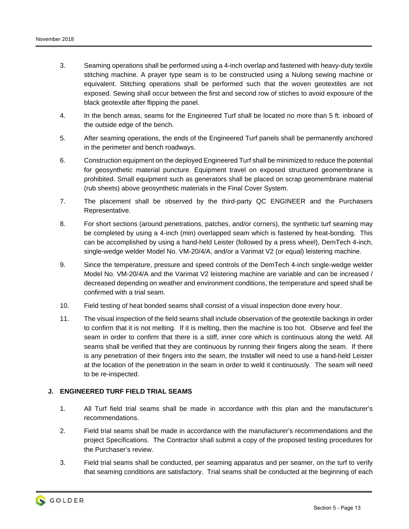- 3. Seaming operations shall be performed using a 4-inch overlap and fastened with heavy-duty textile stitching machine. A prayer type seam is to be constructed using a Nulong sewing machine or equivalent. Stitching operations shall be performed such that the woven geotextiles are not exposed. Sewing shall occur between the first and second row of stiches to avoid exposure of the black geotextile after flipping the panel.
- 4. In the bench areas, seams for the Engineered Turf shall be located no more than 5 ft. inboard of the outside edge of the bench.
- 5. After seaming operations, the ends of the Engineered Turf panels shall be permanently anchored in the perimeter and bench roadways.
- 6. Construction equipment on the deployed Engineered Turf shall be minimized to reduce the potential for geosynthetic material puncture. Equipment travel on exposed structured geomembrane is prohibited. Small equipment such as generators shall be placed on scrap geomembrane material (rub sheets) above geosynthetic materials in the Final Cover System.
- 7. The placement shall be observed by the third-party QC ENGINEER and the Purchasers Representative.
- 8. For short sections (around penetrations, patches, and/or corners), the synthetic turf seaming may be completed by using a 4-inch (min) overlapped seam which is fastened by heat-bonding. This can be accomplished by using a hand-held Leister (followed by a press wheel), DemTech 4-inch, single-wedge welder Model No. VM-20/4/A, and/or a Varimat V2 (or equal) leistering machine.
- 9. Since the temperature, pressure and speed controls of the DemTech 4-inch single-wedge welder Model No. VM-20/4/A and the Varimat V2 leistering machine are variable and can be increased / decreased depending on weather and environment conditions, the temperature and speed shall be confirmed with a trial seam.
- 10. Field testing of heat bonded seams shall consist of a visual inspection done every hour.
- 11. The visual inspection of the field seams shall include observation of the geotextile backings in order to confirm that it is not melting. If it is melting, then the machine is too hot. Observe and feel the seam in order to confirm that there is a stiff, inner core which is continuous along the weld. All seams shall be verified that they are continuous by running their fingers along the seam. If there is any penetration of their fingers into the seam, the Installer will need to use a hand-held Leister at the location of the penetration in the seam in order to weld it continuously. The seam will need to be re-inspected.

#### **J. ENGINEERED TURF FIELD TRIAL SEAMS**

- 1. All Turf field trial seams shall be made in accordance with this plan and the manufacturer's recommendations.
- 2. Field trial seams shall be made in accordance with the manufacturer's recommendations and the project Specifications. The Contractor shall submit a copy of the proposed testing procedures for the Purchaser's review.
- 3. Field trial seams shall be conducted, per seaming apparatus and per seamer, on the turf to verify that seaming conditions are satisfactory. Trial seams shall be conducted at the beginning of each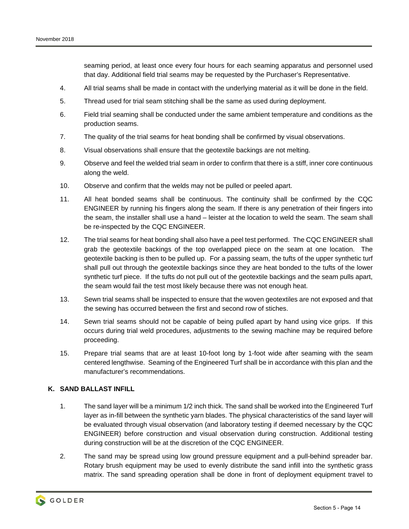seaming period, at least once every four hours for each seaming apparatus and personnel used that day. Additional field trial seams may be requested by the Purchaser's Representative.

- 4. All trial seams shall be made in contact with the underlying material as it will be done in the field.
- 5. Thread used for trial seam stitching shall be the same as used during deployment.
- 6. Field trial seaming shall be conducted under the same ambient temperature and conditions as the production seams.
- 7. The quality of the trial seams for heat bonding shall be confirmed by visual observations.
- 8. Visual observations shall ensure that the geotextile backings are not melting.
- 9. Observe and feel the welded trial seam in order to confirm that there is a stiff, inner core continuous along the weld.
- 10. Observe and confirm that the welds may not be pulled or peeled apart.
- 11. All heat bonded seams shall be continuous. The continuity shall be confirmed by the CQC ENGINEER by running his fingers along the seam. If there is any penetration of their fingers into the seam, the installer shall use a hand – leister at the location to weld the seam. The seam shall be re-inspected by the CQC ENGINEER.
- 12. The trial seams for heat bonding shall also have a peel test performed. The CQC ENGINEER shall grab the geotextile backings of the top overlapped piece on the seam at one location. The geotextile backing is then to be pulled up. For a passing seam, the tufts of the upper synthetic turf shall pull out through the geotextile backings since they are heat bonded to the tufts of the lower synthetic turf piece. If the tufts do not pull out of the geotextile backings and the seam pulls apart, the seam would fail the test most likely because there was not enough heat.
- 13. Sewn trial seams shall be inspected to ensure that the woven geotextiles are not exposed and that the sewing has occurred between the first and second row of stiches.
- 14. Sewn trial seams should not be capable of being pulled apart by hand using vice grips. If this occurs during trial weld procedures, adjustments to the sewing machine may be required before proceeding.
- 15. Prepare trial seams that are at least 10-foot long by 1-foot wide after seaming with the seam centered lengthwise. Seaming of the Engineered Turf shall be in accordance with this plan and the manufacturer's recommendations.

#### **K. SAND BALLAST INFILL**

- 1. The sand layer will be a minimum 1/2 inch thick. The sand shall be worked into the Engineered Turf layer as in-fill between the synthetic yarn blades. The physical characteristics of the sand layer will be evaluated through visual observation (and laboratory testing if deemed necessary by the CQC ENGINEER) before construction and visual observation during construction. Additional testing during construction will be at the discretion of the CQC ENGINEER.
- 2. The sand may be spread using low ground pressure equipment and a pull-behind spreader bar. Rotary brush equipment may be used to evenly distribute the sand infill into the synthetic grass matrix. The sand spreading operation shall be done in front of deployment equipment travel to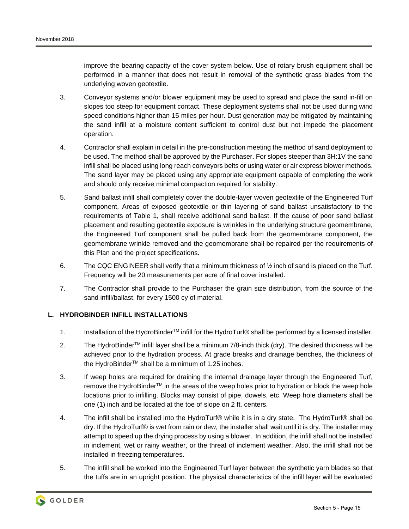improve the bearing capacity of the cover system below. Use of rotary brush equipment shall be performed in a manner that does not result in removal of the synthetic grass blades from the underlying woven geotextile.

- 3. Conveyor systems and/or blower equipment may be used to spread and place the sand in-fill on slopes too steep for equipment contact. These deployment systems shall not be used during wind speed conditions higher than 15 miles per hour. Dust generation may be mitigated by maintaining the sand infill at a moisture content sufficient to control dust but not impede the placement operation.
- 4. Contractor shall explain in detail in the pre-construction meeting the method of sand deployment to be used. The method shall be approved by the Purchaser. For slopes steeper than 3H:1V the sand infill shall be placed using long reach conveyors belts or using water or air express blower methods. The sand layer may be placed using any appropriate equipment capable of completing the work and should only receive minimal compaction required for stability.
- 5. Sand ballast infill shall completely cover the double-layer woven geotextile of the Engineered Turf component. Areas of exposed geotextile or thin layering of sand ballast unsatisfactory to the requirements of Table 1, shall receive additional sand ballast. If the cause of poor sand ballast placement and resulting geotextile exposure is wrinkles in the underlying structure geomembrane, the Engineered Turf component shall be pulled back from the geomembrane component, the geomembrane wrinkle removed and the geomembrane shall be repaired per the requirements of this Plan and the project specifications.
- 6. The CQC ENGINEER shall verify that a minimum thickness of  $\frac{1}{2}$  inch of sand is placed on the Turf. Frequency will be 20 measurements per acre of final cover installed.
- 7. The Contractor shall provide to the Purchaser the grain size distribution, from the source of the sand infill/ballast, for every 1500 cy of material.

#### **L. HYDROBINDER INFILL INSTALLATIONS**

- 1. Installation of the HydroBinder<sup>™</sup> infill for the HydroTurf® shall be performed by a licensed installer.
- 2. The HydroBinder<sup>TM</sup> infill layer shall be a minimum 7/8-inch thick (dry). The desired thickness will be achieved prior to the hydration process. At grade breaks and drainage benches, the thickness of the HydroBinder<sup>™</sup> shall be a minimum of 1.25 inches.
- 3. If weep holes are required for draining the internal drainage layer through the Engineered Turf, remove the HydroBinder<sup>™</sup> in the areas of the weep holes prior to hydration or block the weep hole locations prior to infilling. Blocks may consist of pipe, dowels, etc. Weep hole diameters shall be one (1) inch and be located at the toe of slope on 2 ft. centers.
- 4. The infill shall be installed into the HydroTurf® while it is in a dry state. The HydroTurf® shall be dry. If the HydroTurf® is wet from rain or dew, the installer shall wait until it is dry. The installer may attempt to speed up the drying process by using a blower. In addition, the infill shall not be installed in inclement, wet or rainy weather, or the threat of inclement weather. Also, the infill shall not be installed in freezing temperatures.
- 5. The infill shall be worked into the Engineered Turf layer between the synthetic yarn blades so that the tuffs are in an upright position. The physical characteristics of the infill layer will be evaluated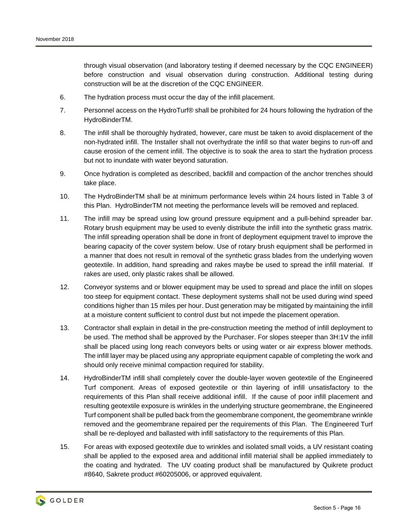through visual observation (and laboratory testing if deemed necessary by the CQC ENGINEER) before construction and visual observation during construction. Additional testing during construction will be at the discretion of the CQC ENGINEER.

- 6. The hydration process must occur the day of the infill placement.
- 7. Personnel access on the HydroTurf® shall be prohibited for 24 hours following the hydration of the HydroBinderTM.
- 8. The infill shall be thoroughly hydrated, however, care must be taken to avoid displacement of the non-hydrated infill. The Installer shall not overhydrate the infill so that water begins to run-off and cause erosion of the cement infill. The objective is to soak the area to start the hydration process but not to inundate with water beyond saturation.
- 9. Once hydration is completed as described, backfill and compaction of the anchor trenches should take place.
- 10. The HydroBinderTM shall be at minimum performance levels within 24 hours listed in Table 3 of this Plan. HydroBinderTM not meeting the performance levels will be removed and replaced.
- 11. The infill may be spread using low ground pressure equipment and a pull-behind spreader bar. Rotary brush equipment may be used to evenly distribute the infill into the synthetic grass matrix. The infill spreading operation shall be done in front of deployment equipment travel to improve the bearing capacity of the cover system below. Use of rotary brush equipment shall be performed in a manner that does not result in removal of the synthetic grass blades from the underlying woven geotextile. In addition, hand spreading and rakes maybe be used to spread the infill material. If rakes are used, only plastic rakes shall be allowed.
- 12. Conveyor systems and or blower equipment may be used to spread and place the infill on slopes too steep for equipment contact. These deployment systems shall not be used during wind speed conditions higher than 15 miles per hour. Dust generation may be mitigated by maintaining the infill at a moisture content sufficient to control dust but not impede the placement operation.
- 13. Contractor shall explain in detail in the pre-construction meeting the method of infill deployment to be used. The method shall be approved by the Purchaser. For slopes steeper than 3H:1V the infill shall be placed using long reach conveyors belts or using water or air express blower methods. The infill layer may be placed using any appropriate equipment capable of completing the work and should only receive minimal compaction required for stability.
- 14. HydroBinderTM infill shall completely cover the double-layer woven geotextile of the Engineered Turf component. Areas of exposed geotextile or thin layering of infill unsatisfactory to the requirements of this Plan shall receive additional infill. If the cause of poor infill placement and resulting geotextile exposure is wrinkles in the underlying structure geomembrane, the Engineered Turf component shall be pulled back from the geomembrane component, the geomembrane wrinkle removed and the geomembrane repaired per the requirements of this Plan. The Engineered Turf shall be re-deployed and ballasted with infill satisfactory to the requirements of this Plan.
- 15. For areas with exposed geotextile due to wrinkles and isolated small voids, a UV resistant coating shall be applied to the exposed area and additional infill material shall be applied immediately to the coating and hydrated. The UV coating product shall be manufactured by Quikrete product #8640, Sakrete product #60205006, or approved equivalent.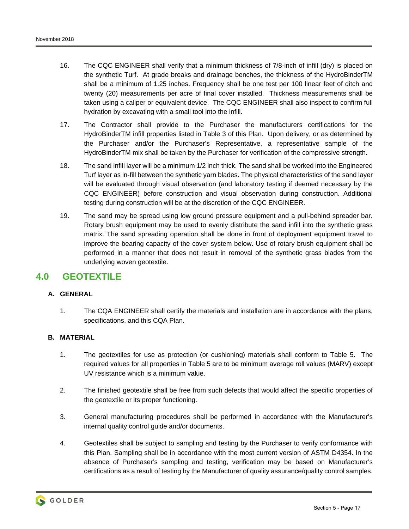- 16. The CQC ENGINEER shall verify that a minimum thickness of 7/8-inch of infill (dry) is placed on the synthetic Turf. At grade breaks and drainage benches, the thickness of the HydroBinderTM shall be a minimum of 1.25 inches. Frequency shall be one test per 100 linear feet of ditch and twenty (20) measurements per acre of final cover installed. Thickness measurements shall be taken using a caliper or equivalent device. The CQC ENGINEER shall also inspect to confirm full hydration by excavating with a small tool into the infill.
- 17. The Contractor shall provide to the Purchaser the manufacturers certifications for the HydroBinderTM infill properties listed in Table 3 of this Plan. Upon delivery, or as determined by the Purchaser and/or the Purchaser's Representative, a representative sample of the HydroBinderTM mix shall be taken by the Purchaser for verification of the compressive strength.
- 18. The sand infill layer will be a minimum 1/2 inch thick. The sand shall be worked into the Engineered Turf layer as in-fill between the synthetic yarn blades. The physical characteristics of the sand layer will be evaluated through visual observation (and laboratory testing if deemed necessary by the CQC ENGINEER) before construction and visual observation during construction. Additional testing during construction will be at the discretion of the CQC ENGINEER.
- 19. The sand may be spread using low ground pressure equipment and a pull-behind spreader bar. Rotary brush equipment may be used to evenly distribute the sand infill into the synthetic grass matrix. The sand spreading operation shall be done in front of deployment equipment travel to improve the bearing capacity of the cover system below. Use of rotary brush equipment shall be performed in a manner that does not result in removal of the synthetic grass blades from the underlying woven geotextile.

# **4.0 GEOTEXTILE**

# **A. GENERAL**

1. The CQA ENGINEER shall certify the materials and installation are in accordance with the plans, specifications, and this CQA Plan.

# **B. MATERIAL**

- 1. The geotextiles for use as protection (or cushioning) materials shall conform to Table 5. The required values for all properties in Table 5 are to be minimum average roll values (MARV) except UV resistance which is a minimum value.
- 2. The finished geotextile shall be free from such defects that would affect the specific properties of the geotextile or its proper functioning.
- 3. General manufacturing procedures shall be performed in accordance with the Manufacturer's internal quality control guide and/or documents.
- 4. Geotextiles shall be subject to sampling and testing by the Purchaser to verify conformance with this Plan. Sampling shall be in accordance with the most current version of ASTM D4354. In the absence of Purchaser's sampling and testing, verification may be based on Manufacturer's certifications as a result of testing by the Manufacturer of quality assurance/quality control samples.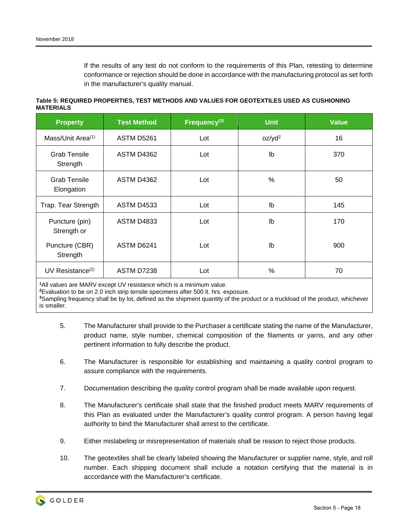If the results of any test do not conform to the requirements of this Plan, retesting to determine conformance or rejection should be done in accordance with the manufacturing protocol as set forth in the manufacturer's quality manual.

**Table 5: REQUIRED PROPERTIES, TEST METHODS AND VALUES FOR GEOTEXTILES USED AS CUSHIONING MATERIALS** 

| <b>Property</b>                   | <b>Test Method</b> | Frequency <sup>(3)</sup> | <b>Unit</b>        | <b>Value</b> |
|-----------------------------------|--------------------|--------------------------|--------------------|--------------|
| Mass/Unit Area <sup>(1)</sup>     | <b>ASTM D5261</b>  | Lot                      | oz/yd <sup>2</sup> | 16           |
| <b>Grab Tensile</b><br>Strength   | <b>ASTM D4362</b>  | Lot                      | $\mathsf{lb}$      | 370          |
| <b>Grab Tensile</b><br>Elongation | <b>ASTM D4362</b>  | Lot                      | $\%$               | 50           |
| Trap. Tear Strength               | <b>ASTM D4533</b>  | Lot                      | Ib                 | 145          |
| Puncture (pin)<br>Strength or     | <b>ASTM D4833</b>  | Lot                      | $\mathsf{lb}$      | 170          |
| Puncture (CBR)<br>Strength        | ASTM D6241         | Lot                      | $\mathsf{lb}$      | 900          |
| UV Resistance $(2)$               | ASTM D7238         | Lot                      | %                  | 70           |

**1**All values are MARV except UV resistance which is a minimum value.

**2**Evaluation to be on 2.0 inch strip tensile specimens after 500 lt. hrs. exposure.

**<sup>3</sup>**Sampling frequency shall be by lot, defined as the shipment quantity of the product or a truckload of the product, whichever is smaller.

- 5. The Manufacturer shall provide to the Purchaser a certificate stating the name of the Manufacturer, product name, style number, chemical composition of the filaments or yarns, and any other pertinent information to fully describe the product.
- 6. The Manufacturer is responsible for establishing and maintaining a quality control program to assure compliance with the requirements.
- 7. Documentation describing the quality control program shall be made available upon request.
- 8. The Manufacturer's certificate shall state that the finished product meets MARV requirements of this Plan as evaluated under the Manufacturer's quality control program. A person having legal authority to bind the Manufacturer shall arrest to the certificate.
- 9. Either mislabeling or misrepresentation of materials shall be reason to reject those products.
- 10. The geotextiles shall be clearly labeled showing the Manufacturer or supplier name, style, and roll number. Each shipping document shall include a notation certifying that the material is in accordance with the Manufacturer's certificate.